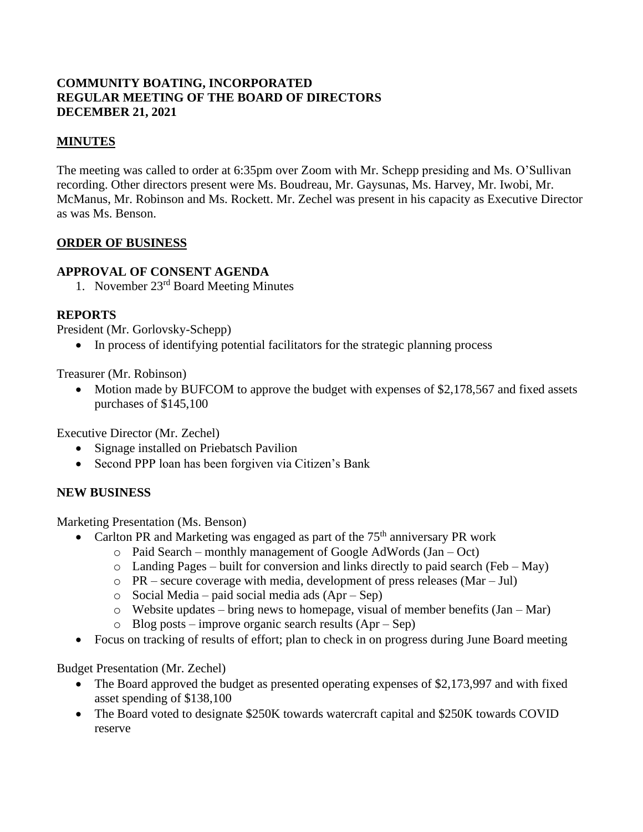### **COMMUNITY BOATING, INCORPORATED REGULAR MEETING OF THE BOARD OF DIRECTORS DECEMBER 21, 2021**

### **MINUTES**

The meeting was called to order at 6:35pm over Zoom with Mr. Schepp presiding and Ms. O'Sullivan recording. Other directors present were Ms. Boudreau, Mr. Gaysunas, Ms. Harvey, Mr. Iwobi, Mr. McManus, Mr. Robinson and Ms. Rockett. Mr. Zechel was present in his capacity as Executive Director as was Ms. Benson.

#### **ORDER OF BUSINESS**

#### **APPROVAL OF CONSENT AGENDA**

1. November 23rd Board Meeting Minutes

### **REPORTS**

President (Mr. Gorlovsky-Schepp)

• In process of identifying potential facilitators for the strategic planning process

Treasurer (Mr. Robinson)

• Motion made by BUFCOM to approve the budget with expenses of \$2,178,567 and fixed assets purchases of \$145,100

Executive Director (Mr. Zechel)

- Signage installed on Priebatsch Pavilion
- Second PPP loan has been forgiven via Citizen's Bank

#### **NEW BUSINESS**

Marketing Presentation (Ms. Benson)

- Carlton PR and Marketing was engaged as part of the  $75<sup>th</sup>$  anniversary PR work
	- o Paid Search monthly management of Google AdWords (Jan Oct)
	- $\circ$  Landing Pages built for conversion and links directly to paid search (Feb May)
	- o PR secure coverage with media, development of press releases (Mar Jul)
	- o Social Media paid social media ads (Apr Sep)
	- $\circ$  Website updates bring news to homepage, visual of member benefits (Jan Mar)
	- o Blog posts improve organic search results (Apr Sep)
- Focus on tracking of results of effort; plan to check in on progress during June Board meeting

Budget Presentation (Mr. Zechel)

- The Board approved the budget as presented operating expenses of \$2,173,997 and with fixed asset spending of \$138,100
- The Board voted to designate \$250K towards watercraft capital and \$250K towards COVID reserve